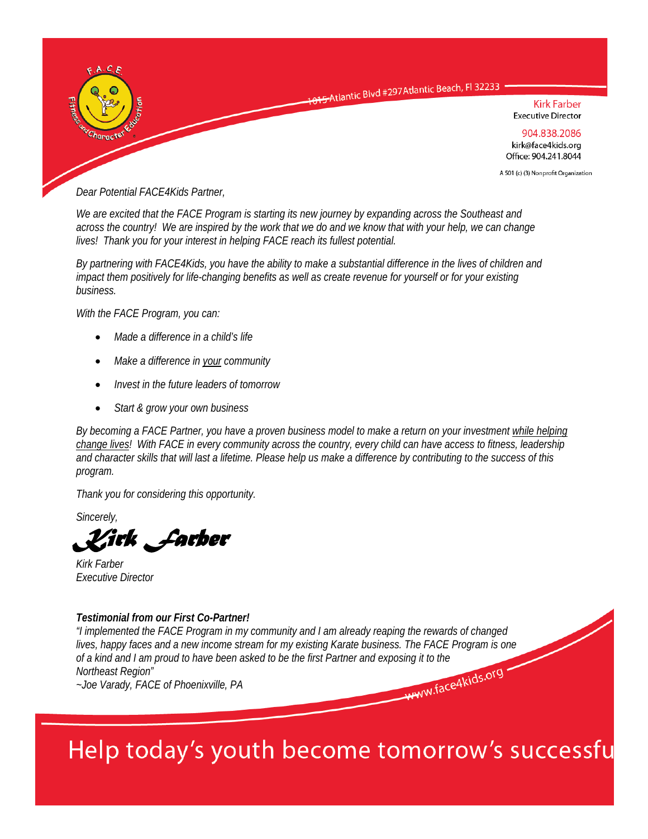

*Dear Potential FACE4Kids Partner,* 

*We are excited that the FACE Program is starting its new journey by expanding across the Southeast and across the country! We are inspired by the work that we do and we know that with your help, we can change lives! Thank you for your interest in helping FACE reach its fullest potential.* 

*By partnering with FACE4Kids, you have the ability to make a substantial difference in the lives of children and impact them positively for life-changing benefits as well as create revenue for yourself or for your existing business.* 

*With the FACE Program, you can:* 

- *Made a difference in a child's life*
- *Make a difference in your community*
- *Invest in the future leaders of tomorrow*
- *Start & grow your own business*

*By becoming a FACE Partner, you have a proven business model to make a return on your investment while helping change lives! With FACE in every community across the country, every child can have access to fitness, leadership and character skills that will last a lifetime. Please help us make a difference by contributing to the success of this program.* 

*Thank you for considering this opportunity.* 

*Sincerely,* 

*Kirk Farber* 

*Kirk Farber Executive Director* 

### *Testimonial from our First Co-Partner!*

*"I implemented the FACE Program in my community and I am already reaping the rewards of changed lives, happy faces and a new income stream for my existing Karate business. The FACE Program is one of a kind and I am proud to have been asked to be the first Partner and exposing it to the Northeast Region"*<br>
Northeast Region"<br>
~Joe Varady, FACE of Phoenixville, PA *Northeast Region" ~Joe Varady, FACE of Phoenixville, PA* 

Help today's youth become tomorrow's successfu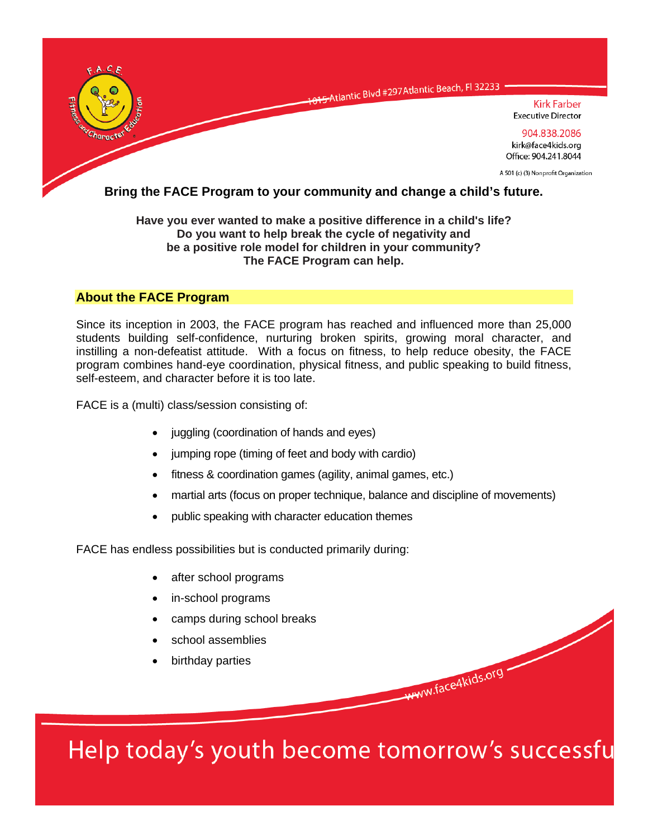

### **Have you ever wanted to make a positive difference in a child's life? Do you want to help break the cycle of negativity and be a positive role model for children in your community? The FACE Program can help.**

## **About the FACE Program**

Since its inception in 2003, the FACE program has reached and influenced more than 25,000 students building self-confidence, nurturing broken spirits, growing moral character, and instilling a non-defeatist attitude. With a focus on fitness, to help reduce obesity, the FACE program combines hand-eye coordination, physical fitness, and public speaking to build fitness, self-esteem, and character before it is too late.

FACE is a (multi) class/session consisting of:

- juggling (coordination of hands and eyes)
- jumping rope (timing of feet and body with cardio)
- fitness & coordination games (agility, animal games, etc.)
- martial arts (focus on proper technique, balance and discipline of movements)
- public speaking with character education themes

FACE has endless possibilities but is conducted primarily during:

- after school programs
- in-school programs
- camps during school breaks
- school assemblies
- birthday parties

Help today's youth become tomorrow's successfu

www.face4kids.org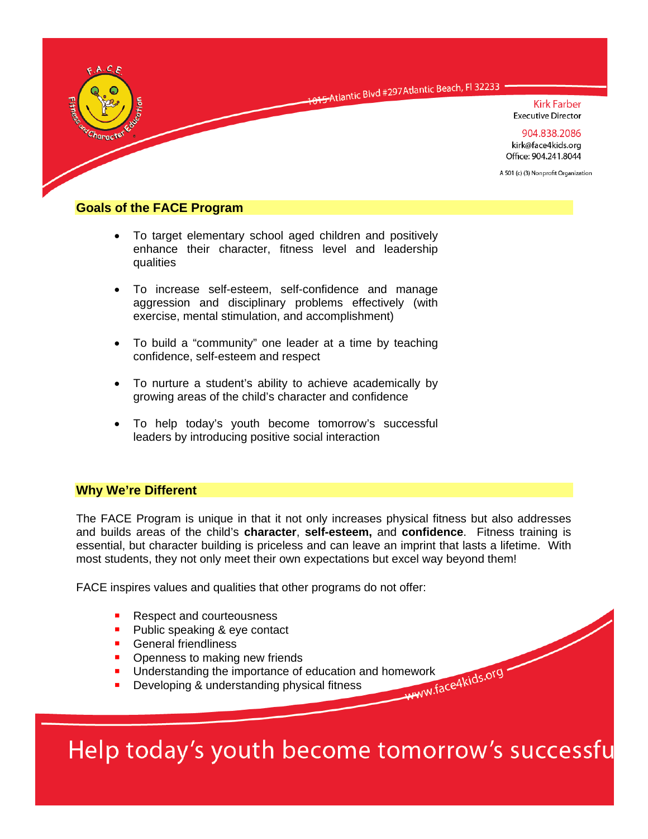

### **Goals of the FACE Program**

- To target elementary school aged children and positively enhance their character, fitness level and leadership qualities
- To increase self-esteem, self-confidence and manage aggression and disciplinary problems effectively (with exercise, mental stimulation, and accomplishment)
- To build a "community" one leader at a time by teaching confidence, self-esteem and respect
- To nurture a student's ability to achieve academically by growing areas of the child's character and confidence
- To help today's youth become tomorrow's successful leaders by introducing positive social interaction

### **Why We're Different**

The FACE Program is unique in that it not only increases physical fitness but also addresses and builds areas of the child's **character**, **self-esteem,** and **confidence**. Fitness training is essential, but character building is priceless and can leave an imprint that lasts a lifetime. With most students, they not only meet their own expectations but excel way beyond them!

FACE inspires values and qualities that other programs do not offer:

- Respect and courteousness
- **Public speaking & eye contact**
- **General friendliness**
- Openness to making new friends
- Understanding the importance of education and homework<br>
Developing & understanding physical fitness
- **Developing & understanding physical fitness**

# Help today's youth become tomorrow's successfu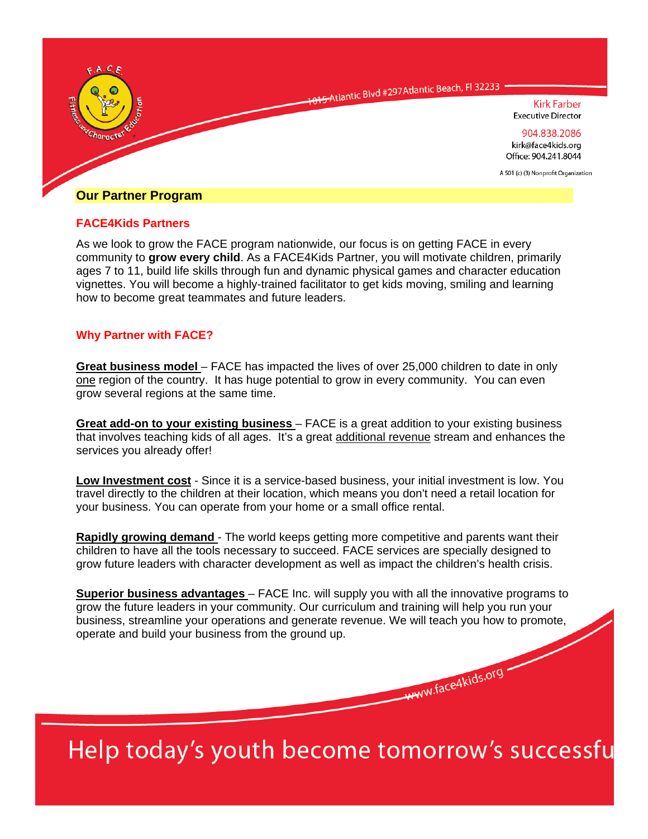

### **FACE4Kids Partners**

As we look to grow the FACE program nationwide, our focus is on getting FACE in every community to **grow every child**. As a FACE4Kids Partner, you will motivate children, primarily ages 7 to 11, build life skills through fun and dynamic physical games and character education vignettes. You will become a highly-trained facilitator to get kids moving, smiling and learning how to become great teammates and future leaders.

### **Why Partner with FACE?**

**Great business model** – FACE has impacted the lives of over 25,000 children to date in only one region of the country. It has huge potential to grow in every community. You can even grow several regions at the same time.

**Great add-on to your existing business** – FACE is a great addition to your existing business that involves teaching kids of all ages. It's a great additional revenue stream and enhances the services you already offer!

**Low Investment cost** - Since it is a service-based business, your initial investment is low. You travel directly to the children at their location, which means you don't need a retail location for your business. You can operate from your home or a small office rental.

**Rapidly growing demand** - The world keeps getting more competitive and parents want their children to have all the tools necessary to succeed. FACE services are specially designed to grow future leaders with character development as well as impact the children's health crisis.

**Superior business advantages** – FACE Inc. will supply you with all the innovative programs to grow the future leaders in your community. Our curriculum and training will help you run your business, streamline your operations and generate revenue. We will teach you how to promote, operate and build your business from the ground up.

Help today's youth become tomorrow's successfu

www.face4kids.org